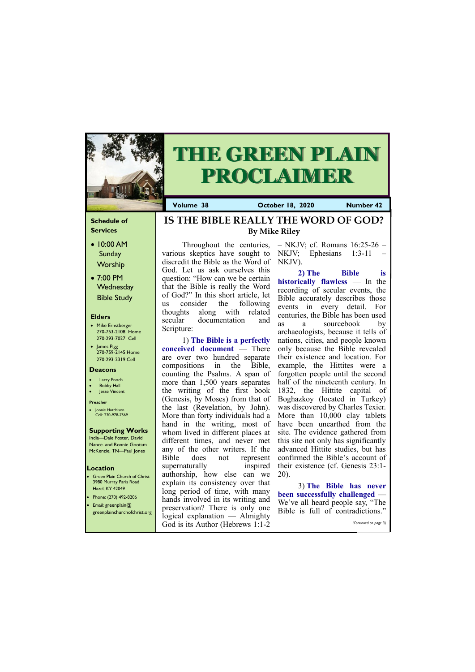## **Schedule of Services**

- 10:00 AM Sunday **Worship**
- 7:00 PM **Wednesday** Bible Study

#### **Elders**

- Mike Ernstberger 270-753-2108 Home 270-293-7027 Cell
- James Pigg 270-759-2145 Home 270-293-2319 Cell

- **Green Plain Church of Christ** 3980 Murray Paris Road Hazel, KY 42049 • Phone: (270) 492-8206
- Email: greenplain@

### **Location**



# **THE GREEN PLAIN PROCLAIMER**

**Volume 38 Corober 18, 2020 Number 42** 

#### **Deacons**

- **Larry Enoch**
- **Bobby Hall**
- Jesse Vincent

#### **Preacher**

• Jonnie Hutchison Cell: 270-978-7569

#### **Supporting Works** India—Dale Foster, David

Nance. and Ronnie Gootam McKenzie, TN—Paul Jones

various skeptics have sought to discredit the Bible as the Word of NKJV). God. Let us ask ourselves this question: "How can we be certain that the Bible is really the Word of God?" In this short article, let us consider the following thoughts along with related secular documentation and Scripture:

1) **The Bible is a perfectly conceived document** — There are over two hundred separate compositions in the Bible, counting the Psalms. A span of more than 1,500 years separates the writing of the first book (Genesis, by Moses) from that of the last (Revelation, by John). More than forty individuals had a hand in the writing, most of whom lived in different places at different times, and never met any of the other writers. If the Bible does not represent supernaturally inspired authorship, how else can we explain its consistency over that long period of time, with many hands involved in its writing and preservation? There is only one

Throughout the centuries,  $-$  NKJV; cf. Romans 16:25-26  $-$ NKJV; Ephesians 1:3-11

| preservation. There is only one Bible is full of contradictions."<br>s eenplainchurchofchrist.org   Process was ----- |  |                       |
|-----------------------------------------------------------------------------------------------------------------------|--|-----------------------|
| God is its Author (Hebrews 1:1-2)                                                                                     |  | (Continued on page 3) |

**2) The Bible is historically flawless** — In the recording of secular events, the Bible accurately describes those events in every detail. For centuries, the Bible has been used as a sourcebook by archaeologists, because it tells of nations, cities, and people known only because the Bible revealed their existence and location. For example, the Hittites were a forgotten people until the second half of the nineteenth century. In 1832, the Hittite capital of Boghazkoy (located in Turkey) was discovered by Charles Texier. More than 10,000 clay tablets have been unearthed from the site. The evidence gathered from this site not only has significantly advanced Hittite studies, but has confirmed the Bible's account of their existence (cf. Genesis 23:1- 20).

3) **The Bible has never been successfully challenged** — We've all heard people say, "The

**IS THE BIBLE REALLY THE WORD OF GOD? By Mike Riley**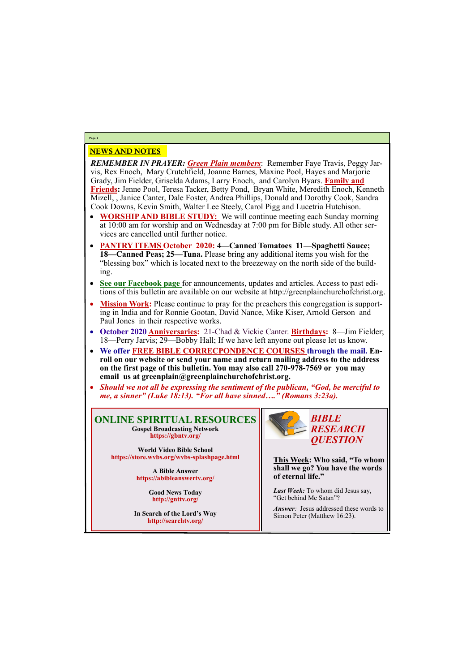# NEWS AND NOTES

*REMEMBER IN PRAYER: Green Plain members*: Remember Faye Travis, Peggy Jarvis, Rex Enoch, Mary Crutchfield, Joanne Barnes, Maxine Pool, Hayes and Marjorie Grady, Jim Fielder, Griselda Adams, Larry Enoch, and Carolyn Byars. **Family and Friends:** Jenne Pool, Teresa Tacker, Betty Pond, Bryan White, Meredith Enoch, Kenneth Mizell, , Janice Canter, Dale Foster, Andrea Phillips, Donald and Dorothy Cook, Sandra Cook Downs, Kevin Smith, Walter Lee Steely, Carol Pigg and Lucetria Hutchison.

- **WORSHIP AND BIBLE STUDY:** We will continue meeting each Sunday morning at 10:00 am for worship and on Wednesday at 7:00 pm for Bible study. All other services are cancelled until further notice.
- **PANTRY ITEMS October 2020: 4—Canned Tomatoes 11—Spaghetti Sauce; 18—Canned Peas; 25—Tuna.** Please bring any additional items you wish for the "blessing box" which is located next to the breezeway on the north side of the building.
- **See our Facebook page** for announcements, updates and articles. Access to past editions of this bulletin are available on our website at http://greenplainchurchofchrist.org.
- Mission Work: Please continue to pray for the preachers this congregation is supporting in India and for Ronnie Gootan, David Nance, Mike Kiser, Arnold Gerson and Paul Jones in their respective works.
- **October 2020 Anniversaries:** 21-Chad & Vickie Canter. **Birthdays:** 8—Jim Fielder; 18—Perry Jarvis; 29—Bobby Hall; If we have left anyone out please let us know.
- **We offer FREE BIBLE CORRECPONDENCE COURSES through the mail. Enroll on our website or send your name and return mailing address to the address on the first page of this bulletin. You may also call 270-978-7569 or you may email us at greenplain@greenplainchurchofchrist.org.**
- *Should we not all be expressing the sentiment of the publican, "God, be merciful to me, a sinner" (Luke 18:13). "For all have sinned…." (Romans 3:23a).*

**Page 2**

**ONLINE SPIRITUAL RESOURCES Gospel Broadcasting Network https://gbntv.org/**

**World Video Bible School https://store.wvbs.org/wvbs-splashpage.html**

> **A Bible Answer https://abibleanswertv.org/**

> > **Good News Today http://gnttv.org/**

**In Search of the Lord's Way http://searchtv.org/**



**This Week: Who said, "To whom shall we go? You have the words of eternal life."**

*Last Week:* To whom did Jesus say, "Get behind Me Satan"?

*Answer:* Jesus addressed these words to Simon Peter (Matthew 16:23).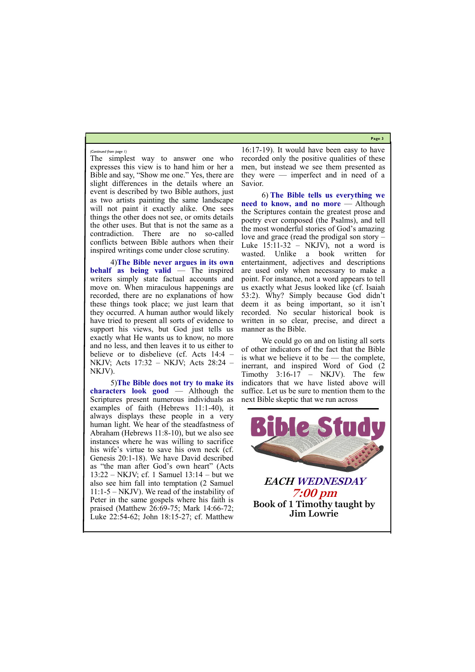**Page 3**

The simplest way to answer one who expresses this view is to hand him or her a Bible and say, "Show me one." Yes, there are slight differences in the details where an event is described by two Bible authors, just as two artists painting the same landscape will not paint it exactly alike. One sees things the other does not see, or omits details the other uses. But that is not the same as a contradiction. There are no so-called conflicts between Bible authors when their inspired writings come under close scrutiny.

4)**The Bible never argues in its own behalf as being valid** — The inspired writers simply state factual accounts and move on. When miraculous happenings are recorded, there are no explanations of how these things took place; we just learn that they occurred. A human author would likely have tried to present all sorts of evidence to support his views, but God just tells us exactly what He wants us to know, no more and no less, and then leaves it to us either to believe or to disbelieve (cf. Acts 14:4 – NKJV; Acts 17:32 – NKJV; Acts 28:24 – NKJV).

5)**The Bible does not try to make its characters look good** — Although the Scriptures present numerous individuals as examples of faith (Hebrews 11:1-40), it always displays these people in a very human light. We hear of the steadfastness of Abraham (Hebrews 11:8-10), but we also see instances where he was willing to sacrifice his wife's virtue to save his own neck (cf. Genesis 20:1-18). We have David described as "the man after God's own heart" (Acts 13:22 – NKJV; cf. 1 Samuel 13:14 – but we also see him fall into temptation (2 Samuel 11:1-5 – NKJV). We read of the instability of Peter in the same gospels where his faith is praised (Matthew 26:69-75; Mark 14:66-72; Luke 22:54-62; John 18:15-27; cf. Matthew

16:17-19). It would have been easy to have recorded only the positive qualities of these men, but instead we see them presented as they were — imperfect and in need of a Savior.

6) **The Bible tells us everything we need to know, and no more** — Although the Scriptures contain the greatest prose and poetry ever composed (the Psalms), and tell the most wonderful stories of God's amazing love and grace (read the prodigal son story – Luke  $15:11-32$  – NKJV), not a word is wasted. Unlike a book written for entertainment, adjectives and descriptions are used only when necessary to make a point. For instance, not a word appears to tell us exactly what Jesus looked like (cf. Isaiah 53:2). Why? Simply because God didn't deem it as being important, so it isn't recorded. No secular historical book is written in so clear, precise, and direct a manner as the Bible.

We could go on and on listing all sorts of other indicators of the fact that the Bible is what we believe it to be — the complete, inerrant, and inspired Word of God (2 Timothy  $3:16-17$  – NKJV). The few indicators that we have listed above will suffice. Let us be sure to mention them to the next Bible skeptic that we run across

*(Continued from page 1)*



**Jim Lowrie**